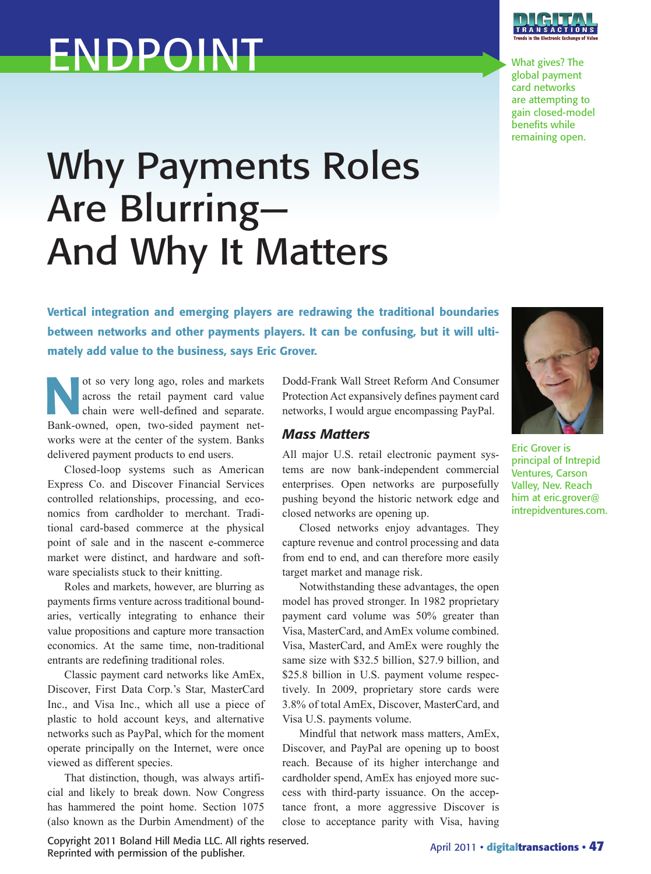## ENDPOINT

## Why Payments Roles Are Blurring— And Why It Matters

What gives? The global payment card networks are attempting to gain closed-model benefits while remaining open.

Vertical integration and emerging players are redrawing the traditional boundaries between networks and other payments players. It can be confusing, but it will ultimately add value to the business, says Eric Grover.

ot so very long ago, roles and markets<br>across the retail payment card value<br>chain were well-defined and separate. across the retail payment card value chain were well-defined and separate. Bank-owned, open, two-sided payment networks were at the center of the system. Banks delivered payment products to end users.

Closed-loop systems such as American Express Co. and Discover Financial Services controlled relationships, processing, and economics from cardholder to merchant. Traditional card-based commerce at the physical point of sale and in the nascent e-commerce market were distinct, and hardware and software specialists stuck to their knitting.

Roles and markets, however, are blurring as payments firms venture across traditional boundaries, vertically integrating to enhance their value propositions and capture more transaction economics. At the same time, non-traditional entrants are redefining traditional roles.

Classic payment card networks like AmEx, Discover, First Data Corp.'s Star, MasterCard Inc., and Visa Inc., which all use a piece of plastic to hold account keys, and alternative networks such as PayPal, which for the moment operate principally on the Internet, were once viewed as different species.

That distinction, though, was always artificial and likely to break down. Now Congress has hammered the point home. Section 1075 (also known as the Durbin Amendment) of the

Copyright 2011 Boland Hill Media LLC. All rights reserved. Reprinted with permission of the publisher.

Dodd-Frank Wall Street Reform And Consumer Protection Act expansively defines payment card networks, I would argue encompassing PayPal.

## *Mass Matters*

All major U.S. retail electronic payment systems are now bank-independent commercial enterprises. Open networks are purposefully pushing beyond the historic network edge and closed networks are opening up.

Closed networks enjoy advantages. They capture revenue and control processing and data from end to end, and can therefore more easily target market and manage risk.

Notwithstanding these advantages, the open model has proved stronger. In 1982 proprietary payment card volume was 50% greater than Visa, MasterCard, and AmEx volume combined. Visa, MasterCard, and AmEx were roughly the same size with \$32.5 billion, \$27.9 billion, and \$25.8 billion in U.S. payment volume respectively. In 2009, proprietary store cards were 3.8% of total AmEx, Discover, MasterCard, and Visa U.S. payments volume.

Mindful that network mass matters, AmEx, Discover, and PayPal are opening up to boost reach. Because of its higher interchange and cardholder spend, AmEx has enjoyed more success with third-party issuance. On the acceptance front, a more aggressive Discover is close to acceptance parity with Visa, having



Eric Grover is principal of Intrepid Ventures, Carson Valley, Nev. Reach him at eric.grover@ intrepidventures.com.